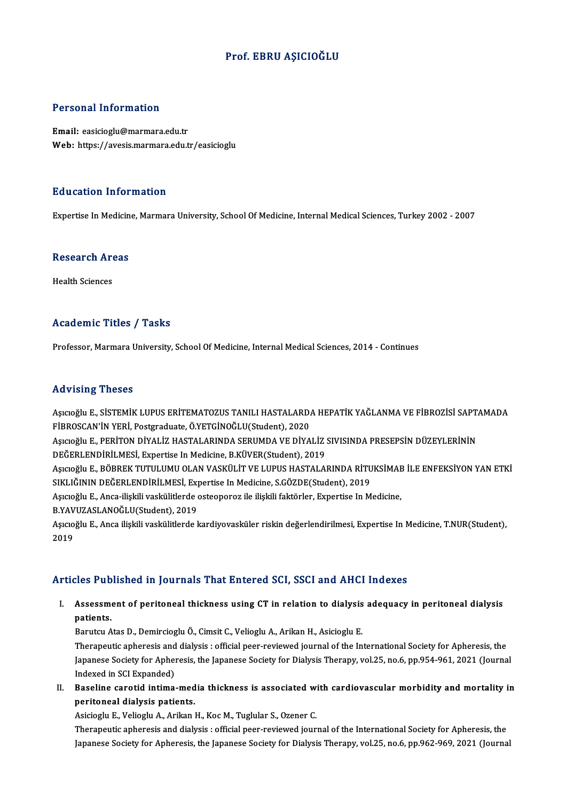#### Prof. EBRU AŞICIOĞLU

#### Personal Information

Email: easicioglu@marmara.edu.tr Web: https://avesis.marmara.edu.tr/easicioglu

#### Education Information

Expertise In Medicine, Marmara University, School Of Medicine, Internal Medical Sciences, Turkey 2002 - 2007

## experuse in Medicin<br>Research Areas R<mark>esearch Ar</mark><br>Health Sciences

# Academic Titles / Tasks

Professor, Marmara University, School Of Medicine, Internal Medical Sciences, 2014 - Continues

#### Advising Theses

Advising Theses<br>Aşıcıoğlu E., SİSTEMİK LUPUS ERİTEMATOZUS TANILI HASTALARDA HEPATİK YAĞLANMA VE FİBROZİSİ SAPTAMADA<br>FİRROSCAN'İN YERİ, Rostaraduata Ö.YETCİNOĞI U(Studart), 2020 FIR FISHI<sub>B</sub> FIFOSOS<br>Aşıcıoğlu E., SİSTEMİK LUPUS ERİTEMATOZUS TANILI HASTALARD*ı*<br>FİBROSCAN'İN YERİ, Postgraduate, Ö.YETGİNOĞLU(Student), 2020<br>Asıcıoğlu E. PERİTON DİVALİZ HASTALARINDA SERIJMDA VE DİVA Aşıcıoğlu E., SİSTEMİK LUPUS ERİTEMATOZUS TANILI HASTALARDA HEPATİK YAĞLANMA VE FİBROZİSİ SAPT.<br>FİBROSCAN'İN YERİ, Postgraduate, Ö.YETGİNOĞLU(Student), 2020<br>Aşıcıoğlu E., PERİTON DİYALİZ HASTALARINDA SERUMDA VE DİYALİZ SIV FİBROSCAN'İN YERİ, Postgraduate, Ö.YETGİNOĞLU(Student), 2020<br>Aşıcıoğlu E., PERİTON DİYALİZ HASTALARINDA SERUMDA VE DİYALİZ SIVISINDA PRESEPSİN DÜZEYLERİNİN<br>DEĞERLENDİRİLMESİ, Expertise In Medicine, B.KÜVER(Student), 2019 Aşıcıoğlu E., PERİTON DİYALİZ HASTALARINDA SERUMDA VE DİYALİZ SIVISINDA PRESEPSİN DÜZEYLERİNİN<br>DEĞERLENDİRİLMESİ, Expertise In Medicine, B.KÜVER(Student), 2019<br>Aşıcıoğlu E., BÖBREK TUTULUMU OLAN VASKÜLİT VE LUPUS HASTALARI DEĞERLENDİRİLMESİ, Expertise In Medicine, B.KÜVER(Student), 2019<br>Aşıcıoğlu E., BÖBREK TUTULUMU OLAN VASKÜLİT VE LUPUS HASTALARINDA RİTU<br>SIKLIĞININ DEĞERLENDİRİLMESİ, Expertise In Medicine, S.GÖZDE(Student), 2019<br>Asıcıoğlu Aşıcıoğlu E., BÖBREK TUTULUMU OLAN VASKÜLİT VE LUPUS HASTALARINDA RİTUKSİMAE<br>SIKLIĞININ DEĞERLENDİRİLMESİ, Expertise In Medicine, S.GÖZDE(Student), 2019<br>Aşıcıoğlu E., Anca-ilişkili vaskülitlerde osteoporoz ile ilişkili fak SIKLIĞININ DEĞERLENDİRİLMESİ, Expertise In Medicine, S.GÖZDE(Student), 2019<br>Aşıcıoğlu E., Anca-ilişkili vaskülitlerde osteoporoz ile ilişkili faktörler, Expertise In Medicine,<br>B.YAVUZASLANOĞLU(Student), 2019 Aşıcıoğlu E., Anca-ilişkili vaskülitlerde osteoporoz ile ilişkili faktörler, Expertise In Medicine,<br>B.YAVUZASLANOĞLU(Student), 2019<br>Aşıcıoğlu E., Anca ilişkili vaskülitlerde kardiyovasküler riskin değerlendirilmesi, Expert B.YAV<br>Aşıcıo<br>2019

# Articles Published in Journals That Entered SCI, SSCI and AHCI Indexes

rticles Published in Journals That Entered SCI, SSCI and AHCI Indexes<br>I. Assessment of peritoneal thickness using CT in relation to dialysis adequacy in peritoneal dialysis<br>nationts Assessments.<br>Parutau A Assessment of peritoneal thickness using CT in relation to dialysis<br>patients.<br>Barutcu Atas D., Demircioglu Ö., Cimsit C., Velioglu A., Arikan H., Asicioglu E.<br>Therepoutic epheresis and dialysis : official pear reviewed jou

patients.<br>Therapeutic apheresis and dialysis : official peer-reviewed journal of the International Society for Apheresis, the<br>Therapeutic apheresis and dialysis : official peer-reviewed journal of the International Society Barutcu Atas D., Demircioglu Ö., Cimsit C., Velioglu A., Arikan H., Asicioglu E.<br>Therapeutic apheresis and dialysis : official peer-reviewed journal of the International Society for Apheresis, the<br>Japanese Society for Aphe Therapeutic apheresis and<br>Japanese Society for Apher<br>Indexed in SCI Expanded)<br>Poseline sexetid intime Japanese Society for Apheresis, the Japanese Society for Dialysis Therapy, vol.25, no.6, pp.954-961, 2021 (Journal Indexed in SCI Expanded)<br>II. Baseline carotid intima-media thickness is associated with cardiovascular morb

Indexed in SCI Expanded)<br>Baseline carotid intima-med<br>peritoneal dialysis patients.<br>Asisiosly E. Voliosly A. Arikan l Baseline carotid intima-media thickness is associated w:<br>peritoneal dialysis patients.<br>Asicioglu E., Velioglu A., Arikan H., Koc M., Tuglular S., Ozener C.<br>Therenewis enhanceis and dialysis : efficial near reviewed jour.

peritoneal dialysis patients.<br>Asicioglu E., Velioglu A., Arikan H., Koc M., Tuglular S., Ozener C.<br>Therapeutic apheresis and dialysis : official peer-reviewed journal of the International Society for Apheresis, the Japanese Society for Apheresis, the Japanese Society for Dialysis Therapy, vol.25, no.6, pp.962-969, 2021 (Journal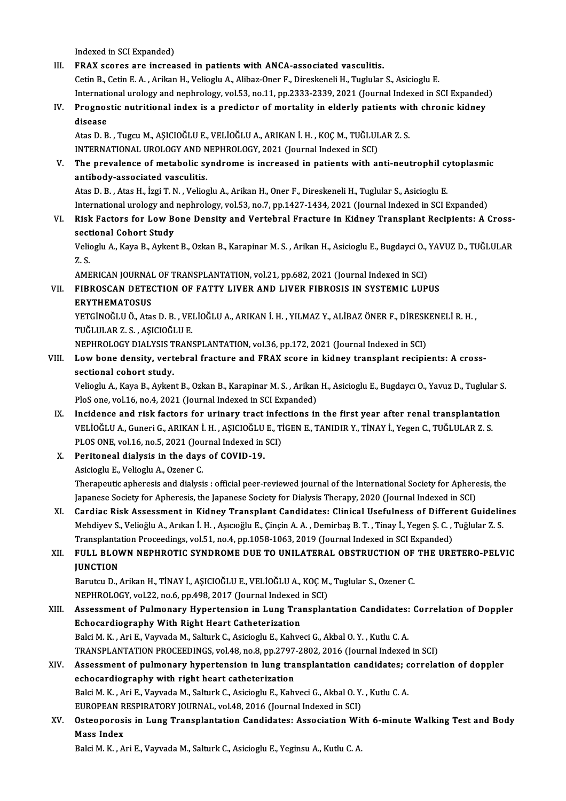- Indexed in SCI Expanded) III. FRAX scores are increased in patients with ANCA-associated vasculitis. Cetin B., Cetin E. A., Arikan H., Velioglu A., Alibaz-Oner F., Direskeneli H., Tuglular S., Asicioglu E. FRAX scores are increased in patients with ANCA-associated vasculitis.<br>Cetin B., Cetin E. A. , Arikan H., Velioglu A., Alibaz-Oner F., Direskeneli H., Tuglular S., Asicioglu E.<br>International urology and nephrology, vol.53, IV. Prognostic nutritional index is a predictor of mortality in elderly patients with chronic kidney<br>disease Internation<br>Prognos<br>disease<br>Atas D. P. Prognostic nutritional index is a predictor of mortality in elderly patients wit<br>disease<br>Atas D. B. , Tugcu M., AŞICIOĞLU E., VELİOĞLU A., ARIKAN İ. H. , KOÇ M., TUĞLULAR Z. S.<br>INTERNATIONAL UROLOGY AND NERHROLOGY. 2021 (J disease<br>Atas D. B. , Tugcu M., AŞICIOĞLU E., VELİOĞLU A., ARIKAN İ. H. , KOÇ M., TUĞLUL<br>INTERNATIONAL UROLOGY AND NEPHROLOGY, 2021 (Journal Indexed in SCI)<br>The prevelence of metabolis sundrome is insteased in patients with Atas D. B. , Tugcu M., AŞICIOĞLU E., VELİOĞLU A., ARIKAN İ. H. , KOÇ M., TUĞLULAR Z. S.<br>INTERNATIONAL UROLOGY AND NEPHROLOGY, 2021 (Journal Indexed in SCI)<br>V. The prevalence of metabolic syndrome is increased in patients w INTERNATIONAL UROLOGY AND N<br>The prevalence of metabolic sy<br>antibody-associated vasculitis. The prevalence of metabolic syndrome is increased in patients with anti-neutrophil cy<br>antibody-associated vasculitis.<br>Atas D. B. , Atas H., İzgi T. N. , Velioglu A., Arikan H., Oner F., Direskeneli H., Tuglular S., Asiciog antibody-associated vasculitis.<br>Atas D. B. , Atas H., İzgi T. N. , Velioglu A., Arikan H., Oner F., Direskeneli H., Tuglular S., Asicioglu E.<br>International urology and nephrology, vol.53, no.7, pp.1427-1434, 2021 (Journal Atas D. B. , Atas H., İzgi T. N. , Velioglu A., Arikan H., Oner F., Direskeneli H., Tuglular S., Asicioglu E.<br>International urology and nephrology, vol.53, no.7, pp.1427-1434, 2021 (Journal Indexed in SCI Expanded)<br>VI. Ris International urology and<br>Risk Factors for Low Be<br>sectional Cohort Study<br>Veliegly A. Kayn B. Aylon Risk Factors for Low Bone Density and Vertebral Fracture in Kidney Transplant Recipients: A Cross-<br>sectional Cohort Study<br>Velioglu A., Kaya B., Aykent B., Ozkan B., Karapinar M. S. , Arikan H., Asicioglu E., Bugdayci O., Y sectional Cohort Study<br>Velioglu A., Kaya B., Ayken<br>Z. S. Velioglu A., Kaya B., Aykent B., Ozkan B., Karapinar M. S., Arikan H., Asicioglu E., Bugdayci O., YAVUZ D., TUĞLULAR VII. FIBROSCAN DETECTION OF FATTY LIVER AND LIVER FIBROSIS IN SYSTEMIC LUPUS<br>ERYTHEMATOSUS AMERICAN JOURNAL OF TRANSPLANTATION, vol.21, pp.682, 2021 (Journal Indexed in SCI) FIBROSCAN DETECTION OF FATTY LIVER AND LIVER FIBROSIS IN SYSTEMIC LUPUS<br>ERYTHEMATOSUS<br>YETGİNOĞLU Ö., Atas D. B. , VELİOĞLU A., ARIKAN İ. H. , YILMAZ Y., ALİBAZ ÖNER F., DİRESKENELİ R. H. ,<br>TUĞLULAR Z. S. ASICIOĞLU E <mark>ERYTHEMATOSUS</mark><br>YETGİNOĞLU Ö., Atas D. B. , VE<br>TUĞLULAR Z. S. , AŞICIOĞLU E.<br>NEBUROLOCY DIALYSIS TRAN YETGİNOĞLU Ö., Atas D. B. , VELİOĞLU A., ARIKAN İ. H. , YILMAZ Y., ALİBAZ ÖNER F., DİRESK<br>TUĞLULAR Z. S. , AŞICIOĞLU E.<br>NEPHROLOGY DIALYSIS TRANSPLANTATION, vol.36, pp.172, 2021 (Journal Indexed in SCI)<br>Law bana dansity, v TUĞLULAR Z. S. , AŞICIOĞLU E.<br>NEPHROLOGY DIALYSIS TRANSPLANTATION, vol.36, pp.172, 2021 (Journal Indexed in SCI)<br>VIII. Low bone density, vertebral fracture and FRAX score in kidney transplant recipients: A cross-<br>secti NEPHROLOGY DIALYSIS T<br>Low bone density, vert<br>sectional cohort study.<br>Veliegly A. Kaya B. Aykon Low bone density, vertebral fracture and FRAX score in kidney transplant recipients: A cross-<br>sectional cohort study.<br>Velioglu A., Kaya B., Aykent B., Ozkan B., Karapinar M. S. , Arikan H., Asicioglu E., Bugdaycı O., Yavuz sectional cohort study.<br>Velioglu A., Kaya B., Aykent B., Ozkan B., Karapinar M. S. , Arikan H., Asicioglu E., Bugdaycı O., Yavuz D., Tuglular S.<br>PloS one, vol.16, no.4, 2021 (Journal Indexed in SCI Expanded) Velioglu A., Kaya B., Aykent B., Ozkan B., Karapinar M. S., Arikan H., Asicioglu E., Bugdaycı O., Yavuz D., Tuglular S.<br>PloS one, vol.16, no.4, 2021 (Journal Indexed in SCI Expanded)<br>IX. Incidence and risk factors for urin PloS one, vol.16, no.4, 2021 (Journal Indexed in SCI Expanded)<br>Incidence and risk factors for urinary tract infections in the first year after renal transplantatio<br>VELİOĞLU A., Guneri G., ARIKAN İ.H., AŞICIOĞLU E., TİGEN E Incidence and risk factors for urinary tract infe<br>VELİOĞLU A., Guneri G., ARIKAN İ. H. , AŞICIOĞLU E., Tİ<br>PLOS ONE, vol.16, no.5, 2021 (Journal Indexed in SCI)<br>Peritaneal dialysis in the days of COVID 19 VELİOĞLU A., Guneri G., ARIKAN İ. H. , AŞICIOĞLU E., TİGEN E., TANIDIR Y., TİNAY İ., Yegen C., TUĞLULAR Z. S.<br>PLOS ONE, vol.16, no.5, 2021 (Journal Indexed in SCI)<br>X. Peritoneal dialysis in the days of COVID-19.<br>Asicioglu PLOS ONE, vol.16, no.5, 2021 (Jou<br>Peritoneal dialysis in the days<br>Asicioglu E., Velioglu A., Ozener C.<br>Thereneutis enheresis and dialysi Therapeutic apheresis and dialysis : official peer-reviewed journal of the International Society for Apheresis, the Asicioglu E., Velioglu A., Ozener C.<br>Therapeutic apheresis and dialysis : official peer-reviewed journal of the International Society for Aphere<br>Japanese Society for Apheresis, the Japanese Society for Dialysis Therapy, 20 Therapeutic apheresis and dialysis : official peer-reviewed journal of the International Society for Apheresis, the<br>Japanese Society for Apheresis, the Japanese Society for Dialysis Therapy, 2020 (Journal Indexed in SCI)<br>X Japanese Society for Apheresis, the Japanese Society for Dialysis Therapy, 2020 (Journal Indexed in SCI)<br>Cardiac Risk Assessment in Kidney Transplant Candidates: Clinical Usefulness of Different Guidelin<br>Mehdiyev S., Velio XI. Cardiac Risk Assessment in Kidney Transplant Candidates: Clinical Usefulness of Different Guidelines<br>Mehdiyev S., Velioğlu A., Arıkan İ. H. , Aşıcıoğlu E., Çinçin A. A. , Demirbaş B. T. , Tinay İ., Yegen Ş. C. , Tuğlul
- Mehdiyev S., Velioğlu A., Arıkan İ. H. , Aşıcıoğlu E., Çinçin A. A. , Demirbaş B. T. , Tinay İ., Yegen Ş. C. , Tuğlular Z. S.<br>Transplantation Proceedings, vol.51, no.4, pp.1058-1063, 2019 (Journal Indexed in SCI Expanded)<br> Transplantation Proceedings, vol.51, no.4, pp.1058-1063, 2019 (Journal Indexed in SCI Expanded)<br>FULL BLOWN NEPHROTIC SYNDROME DUE TO UNILATERAL OBSTRUCTION OF THE URI<br>JUNCTION FULL BLOWN NEPHROTIC SYNDROME DUE TO UNILATERAL OBSTRUCTION OF<br>JUNCTION<br>Barutcu D., Arikan H., TİNAY İ., AŞICIOĞLU E., VELİOĞLU A., KOÇ M., Tuglular S., Ozener C.<br>NEPUROLOCY YA<sup>122</sup>, Bo & PR 498, 2017 (Journal Indoved in S

Barutcu D., Arikan H., TİNAY İ., AŞICIOĞLU E., VELİOĞLU A., KOÇ M., Tuglular S., Ozener C.<br>NEPHROLOGY, vol.22, no.6, pp.498, 2017 (Journal Indexed in SCI) Barutcu D., Arikan H., TİNAY İ., AŞICIOĞLU E., VELİOĞLU A., KOÇ M., Tuglular S., Ozener C.<br>NEPHROLOGY, vol.22, no.6, pp.498, 2017 (Journal Indexed in SCI)<br>XIII. Assessment of Pulmonary Hypertension in Lung Transplantat

- NEPHROLOGY, vol.22, no.6, pp.498, 2017 (Journal Indexed<br>Assessment of Pulmonary Hypertension in Lung Tra<br>Echocardiography With Right Heart Catheterization<br>Pelsi M. K., Ari E. Vouveda M. Selturk C. Asisiosly E. Kabye Assessment of Pulmonary Hypertension in Lung Transplantation Candidates:<br>Echocardiography With Right Heart Catheterization<br>Balci M. K. , Ari E., Vayvada M., Salturk C., Asicioglu E., Kahveci G., Akbal O.Y. , Kutlu C. A.<br>TR Echocardiography With Right Heart Catheterization<br>Balci M. K. , Ari E., Vayvada M., Salturk C., Asicioglu E., Kahveci G., Akbal O. Y. , Kutlu C. A.<br>TRANSPLANTATION PROCEEDINGS, vol.48, no.8, pp.2797-2802, 2016 (Journal Ind Balci M. K. , Ari E., Vayvada M., Salturk C., Asicioglu E., Kahveci G., Akbal O. Y. , Kutlu C. A.<br>TRANSPLANTATION PROCEEDINGS, vol.48, no.8, pp.2797-2802, 2016 (Journal Indexed in SCI)<br>XIV. Assessment of pulmonary hyperten
- TRANSPLANTATION PROCEEDINGS, vol.48, no.8, pp.2797<br>Assessment of pulmonary hypertension in lung tra<br>echocardiography with right heart catheterization<br>Pelsi M.K., Ari E. Vervede M. Selturk C. Asisiosly E. Kebr Assessment of pulmonary hypertension in lung transplantation candidates; c<br>echocardiography with right heart catheterization<br>Balci M. K. , Ari E., Vayvada M., Salturk C., Asicioglu E., Kahveci G., Akbal O.Y. , Kutlu C. A.<br> echocardiography with right heart catheterization<br>Balci M. K., Ari E., Vayvada M., Salturk C., Asicioglu E., Kahveci G., Akbal O. Y., Kutlu C. A. EUROPEAN RESPIRATORY JOURNAL, vol.48, 2016 (Journal Indexed in SCI)
- XV. Osteoporosis in Lung Transplantation Candidates: Association With 6-minute Walking Test and Body<br>Mass Index

Balci M. K., Ari E., Vayvada M., Salturk C., Asicioglu E., Yeginsu A., Kutlu C. A.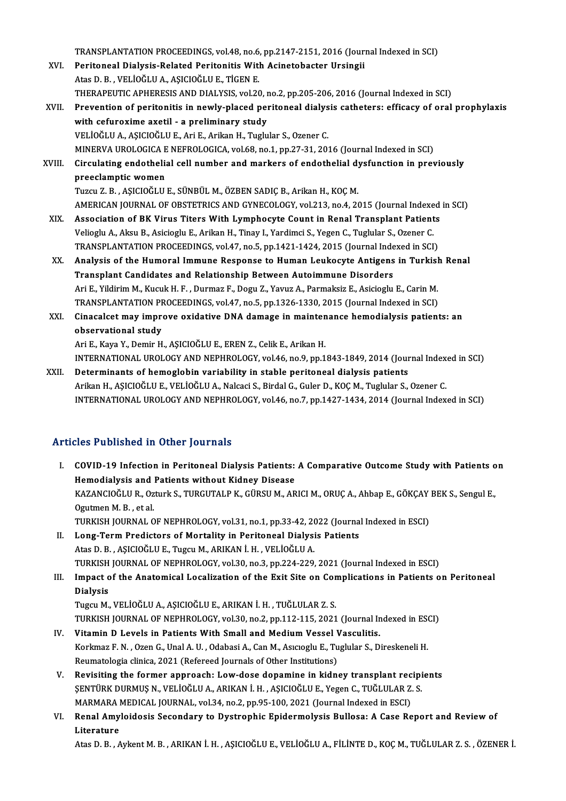TRANSPLANTATION PROCEEDINGS, vol.48, no.6, pp.2147-2151, 2016 (Journal Indexed in SCI)

- TRANSPLANTATION PROCEEDINGS, vol.48, no.6, pp.2147-2151, 2016 (Journal Valley Peritoneal Dialysis-Related Peritonitis With Acinetobacter Ursingii TRANSPLANTATION PROCEEDINGS, vol.48, no.6<br>Peritoneal Dialysis-Related Peritonitis With<br>Atas D. B. , VELİOĞLU A., AŞICIOĞLU E., TİGEN E.<br>THERAPELITIC ARHERESIS AND DIALYSIS vol.26 Peritoneal Dialysis-Related Peritonitis With Acinetobacter Ursingii<br>Atas D. B. , VELİOĞLU A., AŞICIOĞLU E., TİGEN E.<br>THERAPEUTIC APHERESIS AND DIALYSIS, vol.20, no.2, pp.205-206, 2016 (Journal Indexed in SCI)<br>Prevention of Atas D. B. , VELİOĞLU A., AŞICIOĞLU E., TİGEN E.<br>THERAPEUTIC APHERESIS AND DIALYSIS, vol.20, no.2, pp.205-206, 2016 (Journal Indexed in SCI)<br>XVII. Prevention of peritonitis in newly-placed peritoneal dialysis catheters: ef
- THERAPEUTIC APHERESIS AND DIALYSIS, vol.20, r<br>Prevention of peritonitis in newly-placed per<br>with cefuroxime axetil a preliminary study<br>VELIOČLUA ASICIOČLUE Ari E Arikan H. Turlu VELİOĞLUA.,AŞICIOĞLUE.,AriE.,ArikanH.,Tuglular S.,Ozener C. MINERVAUROLOGICAENEFROLOGICA,vol.68,no.1,pp.27-31,2016 (Journal Indexed inSCI)

VELİOĞLU A., AŞICIOĞLU E., Ari E., Arikan H., Tuglular S., Ozener C.<br>MINERVA UROLOGICA E NEFROLOGICA, vol.68, no.1, pp.27-31, 2016 (Journal Indexed in SCI)<br>XVIII. Circulating endothelial cell number and markers of endo MINERVA UROLOGICA E<br>Circulating endothelia<br>preeclamptic women<br>Tuzeu Z. B. ASICIOČUL Circulating endothelial cell number and markers of endothelial dy<br>preeclamptic women<br>Tuzcu Z.B., AŞICIOĞLU E., SÜNBÜL M., ÖZBEN SADIÇ B., Arikan H., KOÇ M.<br>AMERICAN JOUPNAL OF OBSTETPICS AND CYNECOLOCY vel 212 no.4, 20 preeclamptic women<br>Tuzcu Z. B. , AŞICIOĞLU E., SÜNBÜL M., ÖZBEN SADIÇ B., Arikan H., KOÇ M.<br>AMERICAN JOURNAL OF OBSTETRICS AND GYNECOLOGY, vol.213, no.4, 2015 (Journal Indexed in SCI)

- XIX. Association of BK Virus Titers With Lymphocyte Count in Renal Transplant Patients VeliogluA.,AksuB.,AsiciogluE.,ArikanH.,Tinay I.,YardimciS.,YegenC.,Tuglular S.,Ozener C. Association of BK Virus Titers With Lymphocyte Count in Renal Transplant Patients<br>Velioglu A., Aksu B., Asicioglu E., Arikan H., Tinay I., Yardimci S., Yegen C., Tuglular S., Ozener C.<br>TRANSPLANTATION PROCEEDINGS, vol.47,
- XX. Analysis of the Humoral Immune Response to Human Leukocyte Antigens in Turkish Renal TRANSPLANTATION PROCEEDINGS, vol.47, no.5, pp.1421-1424, 2015 (Journal Inde<br>Analysis of the Humoral Immune Response to Human Leukocyte Antigens<br>Transplant Candidates and Relationship Between Autoimmune Disorders<br>Ari E. Vil Analysis of the Humoral Immune Response to Human Leukocyte Antigens in Turkisl<br>Transplant Candidates and Relationship Between Autoimmune Disorders<br>Ari E., Yildirim M., Kucuk H. F. , Durmaz F., Dogu Z., Yavuz A., Parmaksiz Transplant Candidates and Relationship Between Autoimmune Disorders<br>Ari E., Yildirim M., Kucuk H. F. , Durmaz F., Dogu Z., Yavuz A., Parmaksiz E., Asicioglu E., Carin M.<br>TRANSPLANTATION PROCEEDINGS, vol.47, no.5, pp.1326-1 Ari E., Yildirim M., Kucuk H. F. , Durmaz F., Dogu Z., Yavuz A., Parmaksiz E., Asicioglu E., Carin M.<br>TRANSPLANTATION PROCEEDINGS, vol.47, no.5, pp.1326-1330, 2015 (Journal Indexed in SCI)<br>XXI. Cinacalcet may improve oxida
- TRANSPLANTATION PF<br>Cinacalcet may impress<br>observational study<br>Ari E. Kaya Y. Domin H Cinacalcet may improve oxidative DNA damage in mainten<br>observational study<br>Ari E., Kaya Y., Demir H., AŞICIOĞLU E., EREN Z., Celik E., Arikan H.<br>INTERNATIONAL UROLOCY AND NERHROLOCY vel 46 no 9 nn 1 observational study<br>Ari E., Kaya Y., Demir H., AŞICIOĞLU E., EREN Z., Celik E., Arikan H.<br>INTERNATIONAL UROLOGY AND NEPHROLOGY, vol.46, no.9, pp.1843-1849, 2014 (Journal Indexed in SCI)<br>Determinants of bemeslebin verisbili

Ari E., Kaya Y., Demir H., AŞICIOĞLU E., EREN Z., Celik E., Arikan H.<br>INTERNATIONAL UROLOGY AND NEPHROLOGY, vol.46, no.9, pp.1843-1849, 2014 (Journal Index<br>XXII. Determinants of hemoglobin variability in stable peritoneal INTERNATIONAL UROLOGY AND NEPHROLOGY, vol.46, no.9, pp.1843-1849, 2014 (Journal Index<br>Determinants of hemoglobin variability in stable peritoneal dialysis patients<br>Arikan H., AŞICIOĞLU E., VELİOĞLU A., Nalcaci S., Birdal G INTERNATIONAL UROLOGY AND NEPHROLOGY, vol.46, no.7, pp.1427-1434, 2014 (Journal Indexed in SCI)

#### Articles Published in Other Journals

- rticles Published in Other Journals<br>I. COVID-19 Infection in Peritoneal Dialysis Patients: A Comparative Outcome Study with Patients on<br>Hemodialysis and Patients without Kidney Disease MES TUBHONCU IN CENST JOUTHUM<br>COVID-19 Infection in Peritoneal Dialysis Patients:<br>Hemodialysis and Patients without Kidney Disease<br>KAZANCIOČI U P. OTURES TUBEUTALR K. CÜRSUM AR COVID-19 Infection in Peritoneal Dialysis Patients: A Comparative Outcome Study with Patients o<br>Hemodialysis and Patients without Kidney Disease<br>KAZANCIOĞLU R., Ozturk S., TURGUTALP K., GÜRSU M., ARICI M., ORUÇ A., Ahbap E Hemodialysis and Patients without Kidney Disease<br>KAZANCIOĞLU R., Ozturk S., TURGUTALP K., GÜRSU M., ARICI M., ORUÇ A., Ahbap E., GÖKÇAY BEK S., Sengul E.,<br>Ogutmen M. B. . et al. KAZANCIOĞLU R., Ozturk S., TURGUTALP K., GÜRSU M., ARICI M., ORUÇ A., Ahbap E., GÖKÇAY<br>Ogutmen M. B. , et al.<br>TURKISH JOURNAL OF NEPHROLOGY, vol.31, no.1, pp.33-42, 2022 (Journal Indexed in ESCI)<br>Lang Tarm Predistars of Ma
- II. Long-Term Predictors of Mortality in Peritoneal Dialysis Patients<br>Atas D. B., AŞICIOĞLU E., Tugcu M., ARIKAN İ. H., VELİOĞLU A. TURKISH JOURNAL OF NEPHROLOGY, vol.31, no.1, pp.33-42, 20<br>Long-Term Predictors of Mortality in Peritoneal Dialysi<br>Atas D. B. , AŞICIOĞLU E., Tugcu M., ARIKAN İ. H. , VELİOĞLU A.<br>TURKISH JOURNAL OF NEPHROLOGY, vol.30, no.3, TURKISH JOURNAL OF NEPHROLOGY, vol.30, no.3, pp.224-229, 2021 (Journal Indexed in ESCI) Atas D. B. , AŞICIOĞLU E., Tugcu M., ARIKAN İ. H. , VELİOĞLU A.<br>TURKISH JOURNAL OF NEPHROLOGY, vol.30, no.3, pp.224-229, 2021 (Journal Indexed in ESCI)<br>III. Impact of the Anatomical Localization of the Exit Site on Complic
- TURKISH<br>Impact c<br>Dialysis<br>Tuggu M Dialysis<br>Tugcu M., VELİOĞLU A., AŞICIOĞLU E., ARIKAN İ. H. , TUĞLULAR Z. S. Dialysis<br>Tugcu M., VELİOĞLU A., AŞICIOĞLU E., ARIKAN İ. H. , TUĞLULAR Z. S.<br>TURKISH JOURNAL OF NEPHROLOGY, vol.30, no.2, pp.112-115, 2021 (Journal Indexed in ESCI)<br>Vitamin D. Lavels in Batiants With Small and Modium Vessal

- Tugcu M., VELİOĞLU A., AŞICIOĞLU E., ARIKAN İ. H. , TUĞLULAR Z. S.<br>TURKISH JOURNAL OF NEPHROLOGY, vol.30, no.2, pp.112-115, 2021 (Journal In<br>IV. Vitamin D Levels in Patients With Small and Medium Vessel Vasculitis.<br>Korkmar TURKISH JOURNAL OF NEPHROLOGY, vol.30, no.2, pp.112-115, 2021 (Journal Indexed in ESO<br>Vitamin D Levels in Patients With Small and Medium Vessel Vasculitis.<br>Korkmaz F. N. , Ozen G., Unal A. U. , Odabasi A., Can M., Asıcıogl IV. Vitamin D Levels in Patients With Small and Medium Vessel Vasculitis.<br>Korkmaz F. N. , Ozen G., Unal A. U. , Odabasi A., Can M., Asıcıoglu E., Tuglular S., Direskeneli H.<br>Reumatologia clinica, 2021 (Refereed Journals of
- V. Revisiting the former approach: Low-dose dopamine in kidney transplant recipients Reumatologia clinica, 2021 (Refereed Journals of Other Institutions)<br>Revisiting the former approach: Low-dose dopamine in kidney transplant recipi<br>ŞENTÜRK DURMUŞ N., VELİOĞLU A., ARIKAN İ. H. , AŞICIOĞLU E., Yegen C., TUĞL Revisiting the former approach: Low-dose dopamine in kidney transplant rec<br>ŞENTÜRK DURMUŞ N., VELİOĞLU A., ARIKAN İ. H. , AŞICIOĞLU E., Yegen C., TUĞLULAR Z.<br>MARMARA MEDICAL JOURNAL, vol.34, no.2, pp.95-100, 2021 (Journal ŞENTÜRK DURMUŞ N., VELİOĞLU A., ARIKAN İ. H. , AŞICIOĞLU E., Yegen C., TUĞLULAR Z. S.<br>MARMARA MEDICAL JOURNAL, vol.34, no.2, pp.95-100, 2021 (Journal Indexed in ESCI)<br>VI. Renal Amyloidosis Secondary to Dystrophic Epide
- MARMARA<br>Renal Amy<br>Literature<br>Atas D. B.

AtasD.B. ,AykentM.B. ,ARIKANİ.H. ,AŞICIOĞLUE.,VELİOĞLUA.,FİLİNTED.,KOÇM.,TUĞLULARZ.S. ,ÖZENERİ.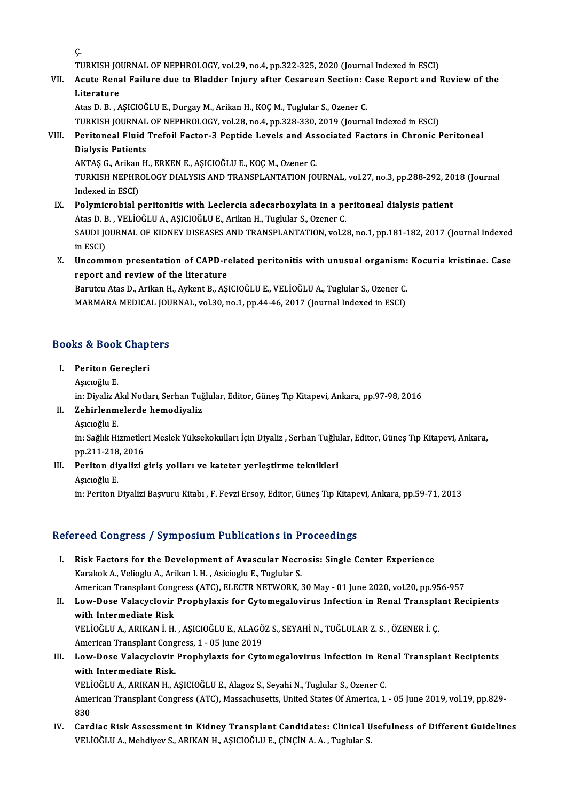Ç.

C.<br>TURKISH JOURNAL OF NEPHROLOGY, vol.29, no.4, pp.322-325, 2020 (Journal Indexed in ESCI)<br>Agute Ronal Failure due to Pladder Injury ofter Gesareen Section: Gese Benert and I

C.<br>TURKISH JOURNAL OF NEPHROLOGY, vol.29, no.4, pp.322-325, 2020 (Journal Indexed in ESCI)<br>VII. Acute Renal Failure due to Bladder Injury after Cesarean Section: Case Report and Review of the<br>Literature TURKISH JO<br>Acute Rena<br>Literature<br>Ates D. B. A

AtasD.B. ,AŞICIOĞLUE.,DurgayM.,ArikanH.,KOÇM.,Tuglular S.,Ozener C. TURKISH JOURNAL OF NEPHROLOGY, vol.28, no.4, pp.328-330, 2019 (Journal Indexed in ESCI)

## Atas D. B. , AŞICIOĞLU E., Durgay M., Arikan H., KOÇ M., Tuglular S., Ozener C.<br>TURKISH JOURNAL OF NEPHROLOGY, vol.28, no.4, pp.328-330, 2019 (Journal Indexed in ESCI)<br>VIII. Peritoneal Fluid Trefoil Factor-3 Peptide Levels **TURKISH JOURNAL<br>Peritoneal Fluid<br>Dialysis Patients<br>AKTAS C. Arikan H** Peritoneal Fluid Trefoil Factor-3 Peptide Levels and Ass<br>Dialysis Patients<br>AKTAŞ G., Arikan H., ERKEN E., AŞICIOĞLU E., KOÇ M., Ozener C.<br>TURKISH NERHROLOCY DIALYSIS AND TRANSPLANTATION IO.

Dialysis Patients<br>AKTAŞ G., Arikan H., ERKEN E., AŞICIOĞLU E., KOÇ M., Ozener C.<br>TURKISH NEPHROLOGY DIALYSIS AND TRANSPLANTATION JOURNAL, vol.27, no.3, pp.288-292, 2018 (Journal<br>Indoved in ESCL AKTAŞ G., Arikan<br>TURKISH NEPHR<br>Indexed in ESCI)<br>Polymianobial r TURKISH NEPHROLOGY DIALYSIS AND TRANSPLANTATION JOURNAL, vol.27, no.3, pp.288-292, 20<br>Indexed in ESCI)<br>IX. Polymicrobial peritonitis with Leclercia adecarboxylata in a peritoneal dialysis patient<br>Ates D. B. VELIOČLU A. ASI

- Indexed in ESCI)<br>IX. Polymicrobial peritonitis with Leclercia adecarboxylata in a peritoneal dialysis patient<br>Atas D. B. , VELİOĞLU A., AŞICIOĞLU E., Arikan H., Tuglular S., Ozener C. Polymicrobial peritonitis with Leclercia adecarboxylata in a peritoneal dialysis patient<br>Atas D. B. , VELİOĞLU A., AŞICIOĞLU E., Arikan H., Tuglular S., Ozener C.<br>SAUDI JOURNAL OF KIDNEY DISEASES AND TRANSPLANTATION, vol.2 Atas D. E<br>SAUDI JC<br>in ESCI)<br>Uncomm SAUDI JOURNAL OF KIDNEY DISEASES AND TRANSPLANTATION, vol.28, no.1, pp.181-182, 2017 (Journal Indexed<br>in ESCI)<br>X. Uncommon presentation of CAPD-related peritonitis with unusual organism: Kocuria kristinae. Case<br>xeneest and
- in ESCI)<br>Uncommon presentation of CAPD-re<br>report and review of the literature<br>Parutau Atas D. Arikan H. Arkant B. AS Uncommon presentation of CAPD-related peritonitis with unusual organism:<br>report and review of the literature<br>Barutcu Atas D., Arikan H., Aykent B., AŞICIOĞLU E., VELİOĞLU A., Tuglular S., Ozener C.<br>MARMARA MEDICAL JOURNAL,

report and review of the literature<br>Barutcu Atas D., Arikan H., Aykent B., AŞICIOĞLU E., VELİOĞLU A., Tuglular S., Ozener C.<br>MARMARA MEDICAL JOURNAL, vol.30, no.1, pp.44-46, 2017 (Journal Indexed in ESCI)

## MARMARA MEDICAL JOU<br>Books & Book Chapters ooks & Book Chap<br>I. Periton Gereçleri<br>Asvağlu E

- I. Periton Gereçleri<br>Aşıcıoğlu E.
	-

in: Diyaliz Akıl Notları, Serhan Tuğlular, Editor, Güneş Tıp Kitapevi, Ankara, pp.97-98, 2016

- Aşıcıoğlu E.<br>in: Diyaliz Akıl Notları, Serhan Tuğ<br>II. Zehirlenmelerde hemodiyaliz in: Diyaliz A<br><mark>Zehirlenm</mark><br>Aşıcıoğlu E.<br>in: Soğluk Hi
	-

Aşıcıoğlu E.<br>in: Sağlık Hizmetleri Meslek Yüksekokulları İçin Diyaliz , Serhan Tuğlular, Editor, Güneş Tıp Kitapevi, Ankara, Aşıcıoğlu E.<br>in: Sağlık Hizmetler<br>pp.211-218, 2016<br>Poriton diveliri s

III. Periton diyalizi giriş yolları ve kateter yerleştirme teknikleri<br>Asıcıoğlu E. pp.211-218<br>Periton di:<br>Aşıcıoğlu E.<br>in: Periton I

in: Periton Diyalizi Başvuru Kitabı , F. Fevzi Ersoy, Editor, Güneş Tıp Kitapevi, Ankara, pp.59-71, 2013

#### Refereed Congress / Symposium Publications in Proceedings

- I. Risk Factors for the Development of Avascular Necrosis: Single Center Experience KarakokA.,VeliogluA.,ArikanI.H. ,AsiciogluE.,Tuglular S. Risk Factors for the Development of Avascular Necrosis: Single Center Experience<br>Karakok A., Velioglu A., Arikan I. H. , Asicioglu E., Tuglular S.<br>American Transplant Congress (ATC), ELECTR NETWORK, 30 May - 01 June 2020,
- II. Low-Dose Valacyclovir Prophylaxis for Cytomegalovirus Infection in Renal Transplant Recipients<br>with Intermediate Risk American Transplant Cong<br>Low-Dose Valacyclovir<br>with Intermediate Risk<br>VELIOČLILA ABIKAN LH Low-Dose Valacyclovir Prophylaxis for Cytomegalovirus Infection in Renal Transpla<br>with Intermediate Risk<br>VELİOĞLU A., ARIKAN İ.H., AŞICIOĞLU E., ALAGÖZ S., SEYAHİ N., TUĞLULAR Z. S. , ÖZENER İ. Ç.<br>American Transplant Congr with Intermediate Risk<br>VELİOĞLU A., ARIKAN İ. H. , AŞICIOĞLU E., ALAGÖ<br>American Transplant Congress, 1 - 05 June 2019<br>Law Dese Valasvelevin Branhylavis for Gyte
- VELİOĞLU A., ARIKAN İ. H. , AŞICIOĞLU E., ALAGÖZ S., SEYAHİ N., TUĞLULAR Z. S. , ÖZENER İ. Ç.<br>American Transplant Congress, 1 05 June 2019<br>III. Low-Dose Valacyclovir Prophylaxis for Cytomegalovirus Infection in Renal American Transplant Congress, 1 - 05 June 2019<br>Low-Dose Valacyclovir Prophylaxis for Cyte<br>with Intermediate Risk. Low-Dose Valacyclovir Prophylaxis for Cytomegalovirus Infection in Re<br>with Intermediate Risk.<br>VELİOĞLU A., ARIKAN H., AŞICIOĞLU E., Alagoz S., Seyahi N., Tuglular S., Ozener C.<br>American Transplant Cangress (ATC) Massashuat VELİOĞLU A., ARIKAN H., AŞICIOĞLU E., Alagoz S., Seyahi N., Tuglular S., Ozener C.

American Transplant Congress (ATC), Massachusetts, United States Of America, 1 - 05 June 2019, vol.19, pp.829-<br>830 American Transplant Congress (ATC), Massachusetts, United States Of America, 1 - 05 June 2019, vol.19, pp.829-<br>830<br>IV. Cardiac Risk Assessment in Kidney Transplant Candidates: Clinical Usefulness of Different Guidelines<br>VE

830<br>Cardiac Risk Assessment in Kidney Transplant Candidates: Clinical U<br>VELİOĞLU A., Mehdiyev S., ARIKAN H., AŞICIOĞLU E., ÇİNÇİN A. A. , Tuglular S.